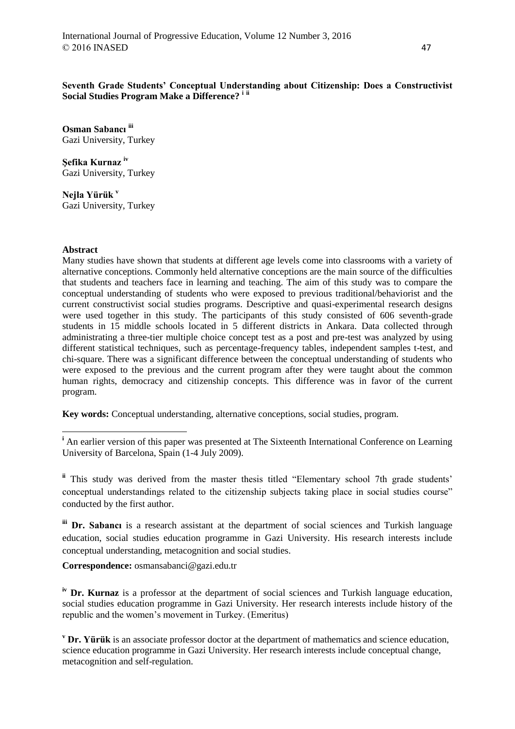# **Seventh Grade Students' Conceptual Understanding about Citizenship: Does a Constructivist Social Studies Program Make a Difference? <sup>i</sup> ii**

**Osman Sabancı iii** Gazi University, Turkey

**Şefika Kurnaz iv** Gazi University, Turkey

**Nejla Yürük <sup>v</sup>** Gazi University, Turkey

## **Abstract**

**.** 

Many studies have shown that students at different age levels come into classrooms with a variety of alternative conceptions. Commonly held alternative conceptions are the main source of the difficulties that students and teachers face in learning and teaching. The aim of this study was to compare the conceptual understanding of students who were exposed to previous traditional/behaviorist and the current constructivist social studies programs. Descriptive and quasi-experimental research designs were used together in this study. The participants of this study consisted of 606 seventh-grade students in 15 middle schools located in 5 different districts in Ankara. Data collected through administrating a three-tier multiple choice concept test as a post and pre-test was analyzed by using different statistical techniques, such as percentage-frequency tables, independent samples t-test, and chi-square. There was a significant difference between the conceptual understanding of students who were exposed to the previous and the current program after they were taught about the common human rights, democracy and citizenship concepts. This difference was in favor of the current program.

**Key words:** Conceptual understanding, alternative conceptions, social studies, program.

**ii** This study was derived from the master thesis titled "Elementary school 7th grade students' conceptual understandings related to the citizenship subjects taking place in social studies course" conducted by the first author.

**iii Dr. Sabancı** is a research assistant at the department of social sciences and Turkish language education, social studies education programme in Gazi University. His research interests include conceptual understanding, metacognition and social studies.

**Correspondence:** osmansabanci@gazi.edu.tr

**iv Dr. Kurnaz** is a professor at the department of social sciences and Turkish language education, social studies education programme in Gazi University. Her research interests include history of the republic and the women's movement in Turkey. (Emeritus)

**<sup>v</sup> Dr. Yürük** is an associate professor doctor at the department of mathematics and science education, science education programme in Gazi University. Her research interests include conceptual change, metacognition and self-regulation.

<sup>&</sup>lt;sup>i</sup> An earlier version of this paper was presented at The Sixteenth International Conference on Learning University of Barcelona, Spain (1-4 July 2009).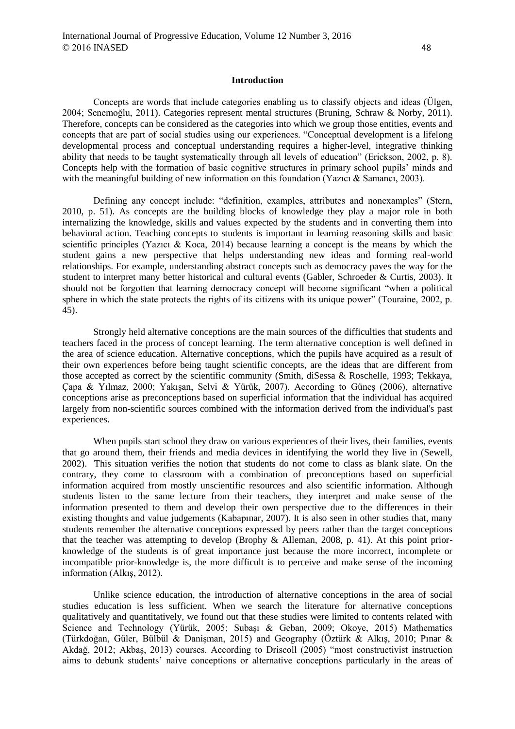#### **Introduction**

Concepts are words that include categories enabling us to classify objects and ideas (Ülgen, 2004; Senemoğlu, 2011). Categories represent mental structures (Bruning, Schraw & Norby, 2011). Therefore, concepts can be considered as the categories into which we group those entities, events and concepts that are part of social studies using our experiences. "Conceptual development is a lifelong developmental process and conceptual understanding requires a higher-level, integrative thinking ability that needs to be taught systematically through all levels of education" (Erickson, 2002, p. 8). Concepts help with the formation of basic cognitive structures in primary school pupils' minds and with the meaningful building of new information on this foundation (Yazıcı & Samancı, 2003).

Defining any concept include: "definition, examples, attributes and nonexamples" (Stern, 2010, p. 51). As concepts are the building blocks of knowledge they play a major role in both internalizing the knowledge, skills and values expected by the students and in converting them into behavioral action. Teaching concepts to students is important in learning reasoning skills and basic scientific principles (Yazıcı & Koca, 2014) because learning a concept is the means by which the student gains a new perspective that helps understanding new ideas and forming real-world relationships. For example, understanding abstract concepts such as democracy paves the way for the student to interpret many better historical and cultural events (Gabler, Schroeder & Curtis, 2003). It should not be forgotten that learning democracy concept will become significant "when a political sphere in which the state protects the rights of its citizens with its unique power" (Touraine, 2002, p.  $(45)$ .

Strongly held alternative conceptions are the main sources of the difficulties that students and teachers faced in the process of concept learning. The term alternative conception is well defined in the area of science education. Alternative conceptions, which the pupils have acquired as a result of their own experiences before being taught scientific concepts, are the ideas that are different from those accepted as correct by the scientific community (Smith, diSessa & Roschelle, 1993; Tekkaya, Çapa & Yılmaz, 2000; Yakışan, Selvi & Yürük, 2007). According to Güneş (2006), alternative conceptions arise as preconceptions based on superficial information that the individual has acquired largely from non-scientific sources combined with the information derived from the individual's past experiences.

When pupils start school they draw on various experiences of their lives, their families, events that go around them, their friends and media devices in identifying the world they live in (Sewell, 2002). This situation verifies the notion that students do not come to class as blank slate. On the contrary, they come to classroom with a combination of preconceptions based on superficial information acquired from mostly unscientific resources and also scientific information. Although students listen to the same lecture from their teachers, they interpret and make sense of the information presented to them and develop their own perspective due to the differences in their existing thoughts and value judgements (Kabapınar, 2007). It is also seen in other studies that, many students remember the alternative conceptions expressed by peers rather than the target conceptions that the teacher was attempting to develop (Brophy & Alleman, 2008, p. 41). At this point priorknowledge of the students is of great importance just because the more incorrect, incomplete or incompatible prior-knowledge is, the more difficult is to perceive and make sense of the incoming information (Alkış, 2012).

Unlike science education, the introduction of alternative conceptions in the area of social studies education is less sufficient. When we search the literature for alternative conceptions qualitatively and quantitatively, we found out that these studies were limited to contents related with Science and Technology (Yürük, 2005; Subaşı & Geban, 2009; Okoye, 2015) Mathematics (Türkdoğan, Güler, Bülbül & Danişman, 2015) and Geography (Öztürk & Alkış, 2010; Pınar & Akdağ, 2012; Akbaş, 2013) courses. According to Driscoll (2005) "most constructivist instruction aims to debunk students' naive conceptions or alternative conceptions particularly in the areas of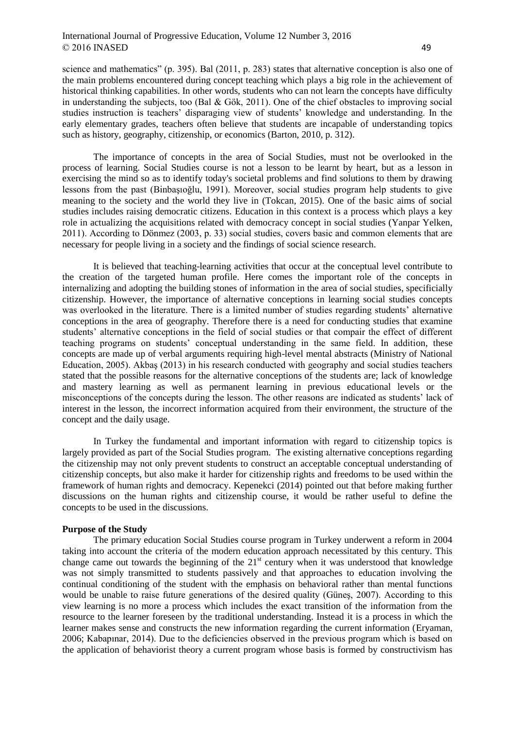science and mathematics" (p. 395). Bal (2011, p. 283) states that alternative conception is also one of the main problems encountered during concept teaching which plays a big role in the achievement of historical thinking capabilities. In other words, students who can not learn the concepts have difficulty in understanding the subjects, too (Bal & Gök, 2011). One of the chief obstacles to improving social studies instruction is teachers' disparaging view of students' knowledge and understanding. In the early elementary grades, teachers often believe that students are incapable of understanding topics such as history, geography, citizenship, or economics (Barton, 2010, p. 312).

The importance of concepts in the area of Social Studies, must not be overlooked in the process of learning. Social Studies course is not a lesson to be learnt by heart, but as a lesson in exercising the mind so as to identify today's societal problems and find solutions to them by drawing lessons from the past (Binbaşıoğlu, 1991). Moreover, social studies program help students to give meaning to the society and the world they live in (Tokcan, 2015). One of the basic aims of social studies includes raising democratic citizens. Education in this context is a process which plays a key role in actualizing the acquisitions related with democracy concept in social studies (Yanpar Yelken, 2011). According to Dönmez (2003, p. 33) social studies, covers basic and common elements that are necessary for people living in a society and the findings of social science research.

It is believed that teaching-learning activities that occur at the conceptual level contribute to the creation of the targeted human profile. Here comes the important role of the concepts in internalizing and adopting the building stones of information in the area of social studies, specificially citizenship. However, the importance of alternative conceptions in learning social studies concepts was overlooked in the literature. There is a limited number of studies regarding students' alternative conceptions in the area of geography. Therefore there is a need for conducting studies that examine students' alternative conceptions in the field of social studies or that compair the effect of different teaching programs on students' conceptual understanding in the same field. In addition, these concepts are made up of verbal arguments requiring high-level mental abstracts (Ministry of National Education, 2005). Akbaş (2013) in his research conducted with geography and social studies teachers stated that the possible reasons for the alternative conceptions of the students are; lack of knowledge and mastery learning as well as permanent learning in previous educational levels or the misconceptions of the concepts during the lesson. The other reasons are indicated as students' lack of interest in the lesson, the incorrect information acquired from their environment, the structure of the concept and the daily usage.

In Turkey the fundamental and important information with regard to citizenship topics is largely provided as part of the Social Studies program. The existing alternative conceptions regarding the citizenship may not only prevent students to construct an acceptable conceptual understanding of citizenship concepts, but also make it harder for citizenship rights and freedoms to be used within the framework of human rights and democracy. Kepenekci (2014) pointed out that before making further discussions on the human rights and citizenship course, it would be rather useful to define the concepts to be used in the discussions.

#### **Purpose of the Study**

The primary education Social Studies course program in Turkey underwent a reform in 2004 taking into account the criteria of the modern education approach necessitated by this century. This change came out towards the beginning of the  $21<sup>st</sup>$  century when it was understood that knowledge was not simply transmitted to students passively and that approaches to education involving the continual conditioning of the student with the emphasis on behavioral rather than mental functions would be unable to raise future generations of the desired quality (Güneş, 2007). According to this view learning is no more a process which includes the exact transition of the information from the resource to the learner foreseen by the traditional understanding. Instead it is a process in which the learner makes sense and constructs the new information regarding the current information (Eryaman, 2006; Kabapınar, 2014). Due to the deficiencies observed in the previous program which is based on the application of behaviorist theory a current program whose basis is formed by constructivism has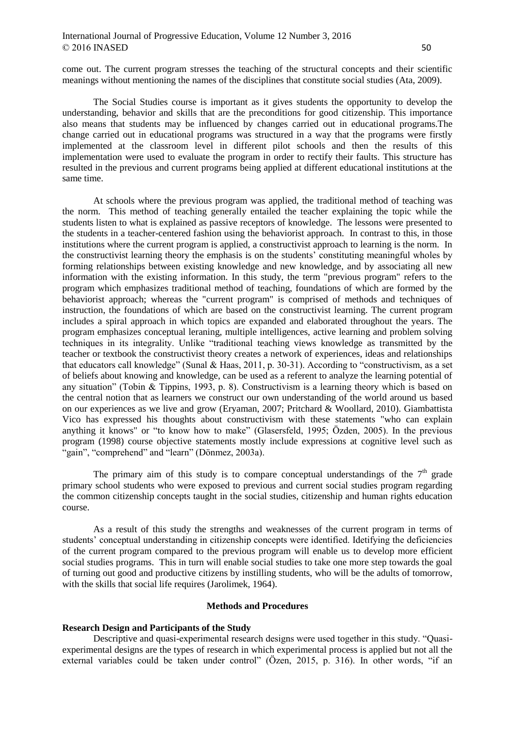come out. The current program stresses the teaching of the structural concepts and their scientific meanings without mentioning the names of the disciplines that constitute social studies (Ata, 2009).

The Social Studies course is important as it gives students the opportunity to develop the understanding, behavior and skills that are the preconditions for good citizenship. This importance also means that students may be influenced by changes carried out in educational programs.The change carried out in educational programs was structured in a way that the programs were firstly implemented at the classroom level in different pilot schools and then the results of this implementation were used to evaluate the program in order to rectify their faults. This structure has resulted in the previous and current programs being applied at different educational institutions at the same time.

At schools where the previous program was applied, the traditional method of teaching was the norm. This method of teaching generally entailed the teacher explaining the topic while the students listen to what is explained as passive receptors of knowledge. The lessons were presented to the students in a teacher-centered fashion using the behaviorist approach. In contrast to this, in those institutions where the current program is applied, a constructivist approach to learning is the norm. In the constructivist learning theory the emphasis is on the students' constituting meaningful wholes by forming relationships between existing knowledge and new knowledge, and by associating all new information with the existing information. In this study, the term "previous program" refers to the program which emphasizes traditional method of teaching, foundations of which are formed by the behaviorist approach; whereas the "current program" is comprised of methods and techniques of instruction, the foundations of which are based on the constructivist learning. The current program includes a spiral approach in which topics are expanded and elaborated throughout the years. The program emphasizes conceptual leraning, multiple intelligences, active learning and problem solving techniques in its integrality. Unlike "traditional teaching views knowledge as transmitted by the teacher or textbook the constructivist theory creates a network of experiences, ideas and relationships that educators call knowledge" (Sunal & Haas, 2011, p. 30-31). According to "constructivism, as a set of beliefs about knowing and knowledge, can be used as a referent to analyze the learning potential of any situation" (Tobin & Tippins, 1993, p. 8). Constructivism is a learning theory which is based on the central notion that as learners we construct our own understanding of the world around us based on our experiences as we live and grow (Eryaman, 2007; Pritchard & Woollard, 2010). Giambattista Vico has expressed his thoughts about constructivism with these statements "who can explain anything it knows" or "to know how to make" (Glasersfeld, 1995; Özden, 2005). In the previous program (1998) course objective statements mostly include expressions at cognitive level such as "gain", "comprehend" and "learn" (Dönmez, 2003a).

The primary aim of this study is to compare conceptual understandings of the  $7<sup>th</sup>$  grade primary school students who were exposed to previous and current social studies program regarding the common citizenship concepts taught in the social studies, citizenship and human rights education course.

As a result of this study the strengths and weaknesses of the current program in terms of students' conceptual understanding in citizenship concepts were identified. Idetifying the deficiencies of the current program compared to the previous program will enable us to develop more efficient social studies programs. This in turn will enable social studies to take one more step towards the goal of turning out good and productive citizens by instilling students, who will be the adults of tomorrow, with the skills that social life requires (Jarolimek, 1964).

## **Methods and Procedures**

#### **Research Design and Participants of the Study**

Descriptive and quasi-experimental research designs were used together in this study. "Quasiexperimental designs are the types of research in which experimental process is applied but not all the external variables could be taken under control" (Özen, 2015, p. 316). In other words, "if an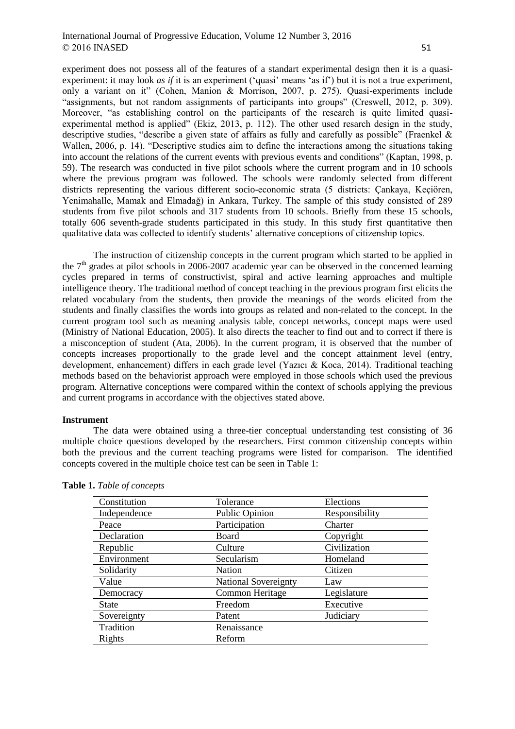experiment does not possess all of the features of a standart experimental design then it is a quasiexperiment: it may look *as if* it is an experiment ('quasi' means 'as if') but it is not a true experiment, only a variant on it" (Cohen, Manion & Morrison, 2007, p. 275). Quasi-experiments include "assignments, but not random assignments of participants into groups" (Creswell, 2012, p. 309). Moreover, "as establishing control on the participants of the research is quite limited quasiexperimental method is applied" (Ekiz, 2013, p. 112). The other used resarch design in the study, descriptive studies, "describe a given state of affairs as fully and carefully as possible" (Fraenkel & Wallen, 2006, p. 14). "Descriptive studies aim to define the interactions among the situations taking into account the relations of the current events with previous events and conditions" (Kaptan, 1998, p. 59). The research was conducted in five pilot schools where the current program and in 10 schools where the previous program was followed. The schools were randomly selected from different districts representing the various different socio-economic strata (5 districts: Çankaya, Keçiören, Yenimahalle, Mamak and Elmadağ) in Ankara, Turkey. The sample of this study consisted of 289 students from five pilot schools and 317 students from 10 schools. Briefly from these 15 schools, totally 606 seventh-grade students participated in this study. In this study first quantitative then qualitative data was collected to identify students' alternative conceptions of citizenship topics.

The instruction of citizenship concepts in the current program which started to be applied in the  $7<sup>th</sup>$  grades at pilot schools in 2006-2007 academic year can be observed in the concerned learning cycles prepared in terms of constructivist, spiral and active learning approaches and multiple intelligence theory. The traditional method of concept teaching in the previous program first elicits the related vocabulary from the students, then provide the meanings of the words elicited from the students and finally classifies the words into groups as related and non-related to the concept. In the current program tool such as meaning analysis table, concept networks, concept maps were used (Ministry of National Education, 2005). It also directs the teacher to find out and to correct if there is a misconception of student (Ata, 2006). In the current program, it is observed that the number of concepts increases proportionally to the grade level and the concept attainment level (entry, development, enhancement) differs in each grade level (Yazıcı & Koca, 2014). Traditional teaching methods based on the behaviorist approach were employed in those schools which used the previous program. Alternative conceptions were compared within the context of schools applying the previous and current programs in accordance with the objectives stated above.

#### **Instrument**

The data were obtained using a three-tier conceptual understanding test consisting of 36 multiple choice questions developed by the researchers. First common citizenship concepts within both the previous and the current teaching programs were listed for comparison. The identified concepts covered in the multiple choice test can be seen in Table 1:

| Constitution | Tolerance                   | Elections      |  |  |
|--------------|-----------------------------|----------------|--|--|
| Independence | Public Opinion              | Responsibility |  |  |
| Peace        | Participation               | Charter        |  |  |
| Declaration  | Board                       | Copyright      |  |  |
| Republic     | Culture                     | Civilization   |  |  |
| Environment  | Secularism                  | Homeland       |  |  |
| Solidarity   | Nation                      | Citizen        |  |  |
| Value        | <b>National Sovereignty</b> | Law            |  |  |
| Democracy    | Common Heritage             | Legislature    |  |  |
| <b>State</b> | Freedom                     | Executive      |  |  |
| Sovereignty  | Patent                      | Judiciary      |  |  |
| Tradition    | Renaissance                 |                |  |  |
| Rights       | Reform                      |                |  |  |

**Table 1.** *Table of concepts*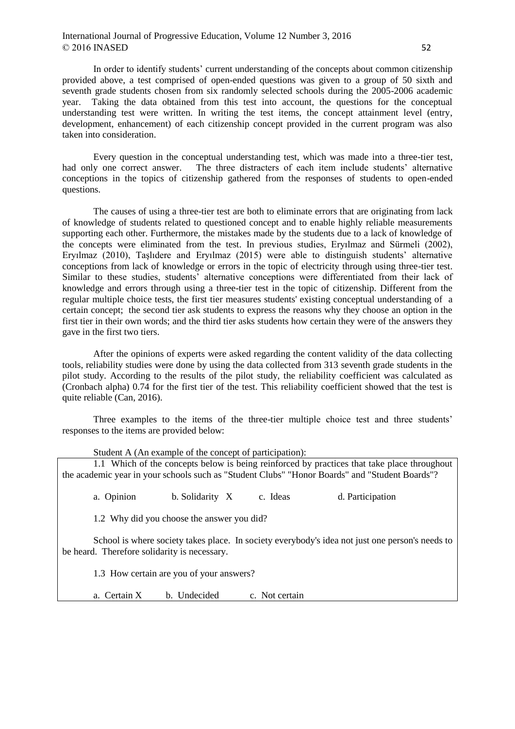In order to identify students' current understanding of the concepts about common citizenship provided above, a test comprised of open-ended questions was given to a group of 50 sixth and seventh grade students chosen from six randomly selected schools during the 2005-2006 academic year. Taking the data obtained from this test into account, the questions for the conceptual understanding test were written. In writing the test items, the concept attainment level (entry, development, enhancement) of each citizenship concept provided in the current program was also taken into consideration.

Every question in the conceptual understanding test, which was made into a three-tier test, had only one correct answer. The three distracters of each item include students' alternative conceptions in the topics of citizenship gathered from the responses of students to open-ended questions.

The causes of using a three-tier test are both to eliminate errors that are originating from lack of knowledge of students related to questioned concept and to enable highly reliable measurements supporting each other. Furthermore, the mistakes made by the students due to a lack of knowledge of the concepts were eliminated from the test. In previous studies, Eryılmaz and Sürmeli (2002), Eryılmaz (2010), Taşlıdere and Eryılmaz (2015) were able to distinguish students' alternative conceptions from lack of knowledge or errors in the topic of electricity through using three-tier test. Similar to these studies, students' alternative conceptions were differentiated from their lack of knowledge and errors through using a three-tier test in the topic of citizenship. Different from the regular multiple choice tests, the first tier measures students' existing conceptual understanding of a certain concept; the second tier ask students to express the reasons why they choose an option in the first tier in their own words; and the third tier asks students how certain they were of the answers they gave in the first two tiers.

After the opinions of experts were asked regarding the content validity of the data collecting tools, reliability studies were done by using the data collected from 313 seventh grade students in the pilot study. According to the results of the pilot study, the reliability coefficient was calculated as (Cronbach alpha) 0.74 for the first tier of the test. This reliability coefficient showed that the test is quite reliable (Can, 2016).

Three examples to the items of the three-tier multiple choice test and three students' responses to the items are provided below:

Student A (An example of the concept of participation):

1.1 Which of the concepts below is being reinforced by practices that take place throughout the academic year in your schools such as "Student Clubs" "Honor Boards" and "Student Boards"?

a. Opinion b. Solidarity X c. Ideas d. Participation

1.2 Why did you choose the answer you did?

School is where society takes place. In society everybody's idea not just one person's needs to be heard. Therefore solidarity is necessary.

1.3 How certain are you of your answers?

a. Certain  $X$  b. Undecided c. Not certain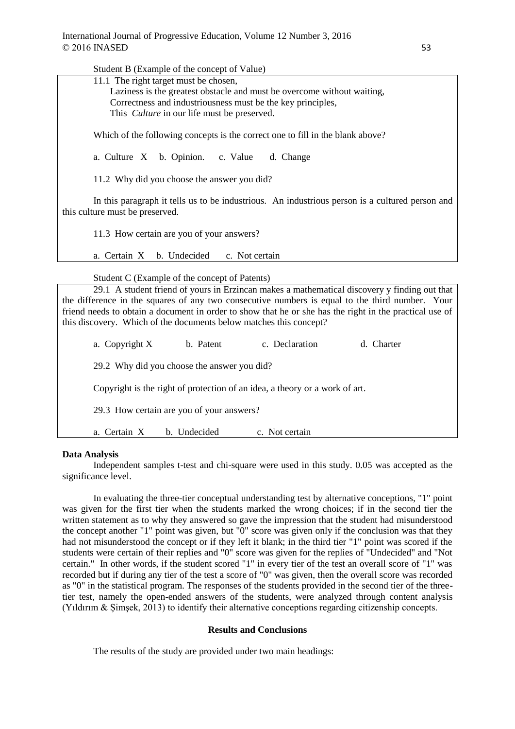$S_{t}$ , dont  $D$  (Example of the concept of  $V_{0}$ lue)

| Student $\bf{D}$ (Example of the concept of $\bf{V}$ and $\bf{V}$                                                                  |  |  |  |  |  |  |
|------------------------------------------------------------------------------------------------------------------------------------|--|--|--|--|--|--|
| 11.1 The right target must be chosen,                                                                                              |  |  |  |  |  |  |
| Laziness is the greatest obstacle and must be overcome without waiting,                                                            |  |  |  |  |  |  |
| Correctness and industriousness must be the key principles,                                                                        |  |  |  |  |  |  |
| This <i>Culture</i> in our life must be preserved.                                                                                 |  |  |  |  |  |  |
|                                                                                                                                    |  |  |  |  |  |  |
| Which of the following concepts is the correct one to fill in the blank above?                                                     |  |  |  |  |  |  |
| a. Culture X b. Opinion. c. Value<br>d. Change                                                                                     |  |  |  |  |  |  |
| 11.2 Why did you choose the answer you did?                                                                                        |  |  |  |  |  |  |
| In this paragraph it tells us to be industrious. An industrious person is a cultured person and<br>this culture must be preserved. |  |  |  |  |  |  |
| 11.3 How certain are you of your answers?                                                                                          |  |  |  |  |  |  |
| b. Undecided<br>a. Certain X<br>c. Not certain                                                                                     |  |  |  |  |  |  |
|                                                                                                                                    |  |  |  |  |  |  |
| Student C (Example of the concept of Patents)                                                                                      |  |  |  |  |  |  |
| 29.1 A student friend of yours in Erzincan makes a mathematical discovery y finding out that                                       |  |  |  |  |  |  |
| the difference in the squares of any two consecutive numbers is equal to the third number. Your                                    |  |  |  |  |  |  |
| friend needs to obtain a document in order to show that he or she has the right in the practical use of                            |  |  |  |  |  |  |
|                                                                                                                                    |  |  |  |  |  |  |
| this discovery. Which of the documents below matches this concept?                                                                 |  |  |  |  |  |  |
| c. Declaration<br>b. Patent<br>d. Charter<br>a. Copyright X                                                                        |  |  |  |  |  |  |
| 29.2 Why did you choose the answer you did?                                                                                        |  |  |  |  |  |  |
| Copyright is the right of protection of an idea, a theory or a work of art.                                                        |  |  |  |  |  |  |
| 29.3 How certain are you of your answers?                                                                                          |  |  |  |  |  |  |
| b. Undecided<br>a. Certain X<br>c. Not certain                                                                                     |  |  |  |  |  |  |

## **Data Analysis**

Independent samples t-test and chi-square were used in this study. 0.05 was accepted as the significance level.

In evaluating the three-tier conceptual understanding test by alternative conceptions, "1" point was given for the first tier when the students marked the wrong choices; if in the second tier the written statement as to why they answered so gave the impression that the student had misunderstood the concept another "1" point was given, but "0" score was given only if the conclusion was that they had not misunderstood the concept or if they left it blank; in the third tier "1" point was scored if the students were certain of their replies and "0" score was given for the replies of "Undecided" and "Not certain." In other words, if the student scored "1" in every tier of the test an overall score of "1" was recorded but if during any tier of the test a score of "0" was given, then the overall score was recorded as "0" in the statistical program. The responses of the students provided in the second tier of the threetier test, namely the open-ended answers of the students, were analyzed through content analysis (Yıldırım & Şimşek, 2013) to identify their alternative conceptions regarding citizenship concepts.

# **Results and Conclusions**

The results of the study are provided under two main headings: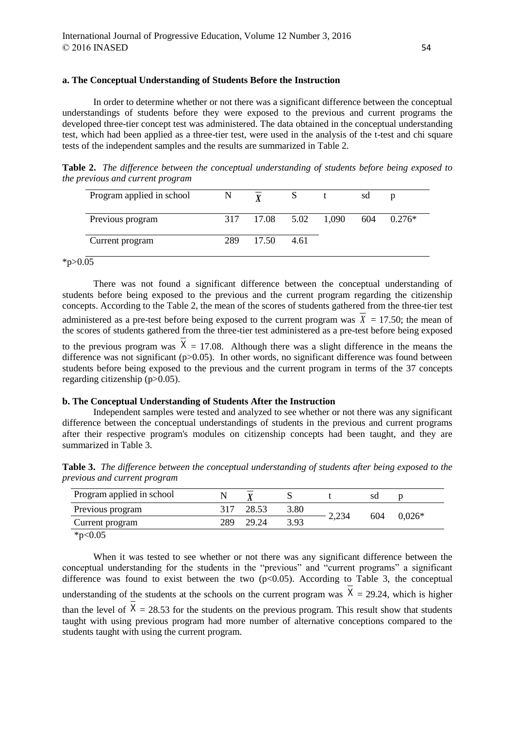## **a. The Conceptual Understanding of Students Before the Instruction**

In order to determine whether or not there was a significant difference between the conceptual understandings of students before they were exposed to the previous and current programs the developed three-tier concept test was administered. The data obtained in the conceptual understanding test, which had been applied as a three-tier test, were used in the analysis of the t-test and chi square tests of the independent samples and the results are summarized in Table 2.

**Table 2.** *The difference between the conceptual understanding of students before being exposed to the previous and current program*

| Program applied in school | N |                      |      | sd  | D        |
|---------------------------|---|----------------------|------|-----|----------|
| Previous program          |   | 317 17.08 5.02 1,090 |      | 604 | $0.276*$ |
| Current program           |   | 289 17.50            | 4.61 |     |          |

 $*_{p>0.05}$ 

There was not found a significant difference between the conceptual understanding of students before being exposed to the previous and the current program regarding the citizenship concepts. According to the Table 2, the mean of the scores of students gathered from the three-tier test administered as a pre-test before being exposed to the current program was  $X = 17.50$ ; the mean of the scores of students gathered from the three-tier test administered as a pre-test before being exposed to the previous program was  $X = 17.08$ . Although there was a slight difference in the means the difference was not significant ( $p>0.05$ ). In other words, no significant difference was found between students before being exposed to the previous and the current program in terms of the 37 concepts

# regarding citizenship (p>0.05).

### **b. The Conceptual Understanding of Students After the Instruction**

Independent samples were tested and analyzed to see whether or not there was any significant difference between the conceptual understandings of students in the previous and current programs after their respective program's modules on citizenship concepts had been taught, and they are summarized in Table 3.

**Table 3.** *The difference between the conceptual understanding of students after being exposed to the previous and current program* 

| Program applied in school |     |       |      |       | SC  |          |
|---------------------------|-----|-------|------|-------|-----|----------|
| Previous program          |     | 28.53 | 3.80 | 2,234 | 604 | $0.026*$ |
| Current program           | 289 | 29.24 | 3.93 |       |     |          |
| * $p<0.05$                |     |       |      |       |     |          |

When it was tested to see whether or not there was any significant difference between the conceptual understanding for the students in the "previous" and "current programs" a significant difference was found to exist between the two  $(p<0.05)$ . According to Table 3, the conceptual understanding of the students at the schools on the current program was  $X = 29.24$ , which is higher than the level of  $X = 28.53$  for the students on the previous program. This result show that students taught with using previous program had more number of alternative conceptions compared to the students taught with using the current program.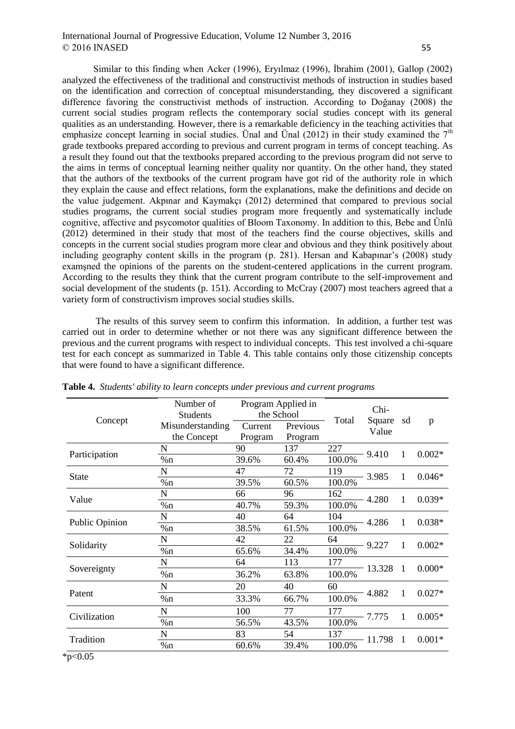Similar to this finding when Acker (1996), Eryılmaz (1996), İbrahim (2001), Gallop (2002) analyzed the effectiveness of the traditional and constructivist methods of instruction in studies based on the identification and correction of conceptual misunderstanding, they discovered a significant difference favoring the constructivist methods of instruction. According to Doğanay (2008) the current social studies program reflects the contemporary social studies concept with its general qualities as an understanding. However, there is a remarkable deficiency in the teaching activities that emphasize concept learning in social studies. Unal and Unal (2012) in their study examined the  $7<sup>th</sup>$ grade textbooks prepared according to previous and current program in terms of concept teaching. As a result they found out that the textbooks prepared according to the previous program did not serve to the aims in terms of conceptual learning neither quality nor quantity. On the other hand, they stated that the authors of the textbooks of the current program have got rid of the authority role in which they explain the cause and effect relations, form the explanations, make the definitions and decide on the value judgement. Akpınar and Kaymakçı (2012) determined that compared to previous social studies programs, the current social studies program more frequently and systematically include cognitive, affective and psycomotor qualities of Bloom Taxonomy. In addition to this, Bebe and Ünlü (2012) determined in their study that most of the teachers find the course objectives, skills and concepts in the current social studies program more clear and obvious and they think positively about including geography content skills in the program (p. 281). Hersan and Kabapınar's (2008) study examşned the opinions of the parents on the student-centered applications in the current program. According to the results they think that the current program contribute to the self-improvement and social development of the students (p. 151). According to McCray (2007) most teachers agreed that a variety form of constructivism improves social studies skills.

The results of this survey seem to confirm this information. In addition, a further test was carried out in order to determine whether or not there was any significant difference between the previous and the current programs with respect to individual concepts. This test involved a chi-square test for each concept as summarized in Table 4. This table contains only those citizenship concepts that were found to have a significant difference.

| Concept        | Number of<br><b>Students</b>    | Program Applied in<br>the School |                     | Total     | Chi-<br>Square<br>Value | sd             | p        |
|----------------|---------------------------------|----------------------------------|---------------------|-----------|-------------------------|----------------|----------|
|                | Misunderstanding<br>the Concept | Current<br>Program               | Previous<br>Program |           |                         |                |          |
| Participation  | N                               | 90                               | 137                 | 227       | $-9.410$                | 1              | $0.002*$ |
|                | %n                              | 39.6%                            | 60.4%               | 100.0%    |                         |                |          |
| <b>State</b>   | N                               | 47                               | 72                  | 119       | $-3.985$                | $\mathbf{1}$   | $0.046*$ |
|                | %n                              | 39.5%                            | 60.5%               | 100.0%    |                         |                |          |
| Value          | N                               | 66                               | 96                  | 162       | $-4.280$                | 1              | $0.039*$ |
|                | %n                              | 40.7%                            | 59.3%               | $100.0\%$ |                         |                |          |
| Public Opinion | N                               | 40                               | 64                  | 104       | $-4.286$                | 1              | $0.038*$ |
|                | %n                              | 38.5%                            | 61.5%               | 100.0%    |                         |                |          |
| Solidarity     | N                               | 42                               | 22                  | 64        | $-9.227$                | $\mathbf{1}$   | $0.002*$ |
|                | %n                              | 65.6%                            | 34.4%               | 100.0%    |                         |                |          |
| Sovereignty    | N                               | 64                               | 113                 | 177       |                         | $\overline{1}$ | $0.000*$ |
|                | %n                              | 36.2%                            | 63.8%               | 100.0%    | $-13.328$               |                |          |
| Patent         | N                               | 20                               | 40                  | 60        |                         | $\mathbf{1}$   | $0.027*$ |
|                | %n                              | 33.3%                            | 66.7%               | 100.0%    | 4.882                   |                |          |
| Civilization   | N                               | 100                              | 77                  | 177       | - 7.775                 | 1              | $0.005*$ |
|                | %n                              | 56.5%                            | 43.5%               | $100.0\%$ |                         |                |          |
| Tradition      | N                               | 83                               | 54                  | 137       | -1                      |                | $0.001*$ |
|                | %n                              | 60.6%                            | 39.4%               | 100.0%    | - 11.798                |                |          |

**Table 4.** *Students' ability to learn concepts under previous and current programs*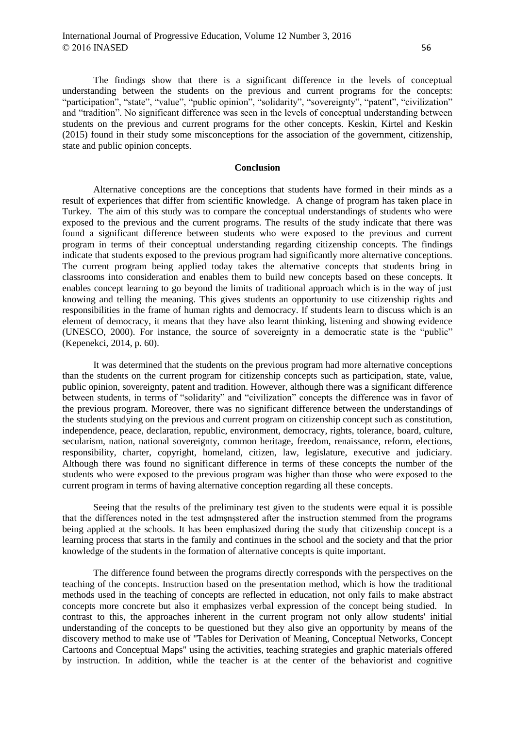The findings show that there is a significant difference in the levels of conceptual understanding between the students on the previous and current programs for the concepts: "participation", "state", "value", "public opinion", "solidarity", "sovereignty", "patent", "civilization" and "tradition". No significant difference was seen in the levels of conceptual understanding between students on the previous and current programs for the other concepts. Keskin, Kirtel and Keskin (2015) found in their study some misconceptions for the association of the government, citizenship, state and public opinion concepts.

## **Conclusion**

Alternative conceptions are the conceptions that students have formed in their minds as a result of experiences that differ from scientific knowledge. A change of program has taken place in Turkey. The aim of this study was to compare the conceptual understandings of students who were exposed to the previous and the current programs. The results of the study indicate that there was found a significant difference between students who were exposed to the previous and current program in terms of their conceptual understanding regarding citizenship concepts. The findings indicate that students exposed to the previous program had significantly more alternative conceptions. The current program being applied today takes the alternative concepts that students bring in classrooms into consideration and enables them to build new concepts based on these concepts. It enables concept learning to go beyond the limits of traditional approach which is in the way of just knowing and telling the meaning. This gives students an opportunity to use citizenship rights and responsibilities in the frame of human rights and democracy. If students learn to discuss which is an element of democracy, it means that they have also learnt thinking, listening and showing evidence (UNESCO, 2000). For instance, the source of sovereignty in a democratic state is the "public" (Kepenekci, 2014, p. 60).

It was determined that the students on the previous program had more alternative conceptions than the students on the current program for citizenship concepts such as participation, state, value, public opinion, sovereignty, patent and tradition. However, although there was a significant difference between students, in terms of "solidarity" and "civilization" concepts the difference was in favor of the previous program. Moreover, there was no significant difference between the understandings of the students studying on the previous and current program on citizenship concept such as constitution, independence, peace, declaration, republic, environment, democracy, rights, tolerance, board, culture, secularism, nation, national sovereignty, common heritage, freedom, renaissance, reform, elections, responsibility, charter, copyright, homeland, citizen, law, legislature, executive and judiciary. Although there was found no significant difference in terms of these concepts the number of the students who were exposed to the previous program was higher than those who were exposed to the current program in terms of having alternative conception regarding all these concepts.

Seeing that the results of the preliminary test given to the students were equal it is possible that the differences noted in the test admşnşstered after the instruction stemmed from the programs being applied at the schools. It has been emphasized during the study that citizenship concept is a learning process that starts in the family and continues in the school and the society and that the prior knowledge of the students in the formation of alternative concepts is quite important.

The difference found between the programs directly corresponds with the perspectives on the teaching of the concepts. Instruction based on the presentation method, which is how the traditional methods used in the teaching of concepts are reflected in education, not only fails to make abstract concepts more concrete but also it emphasizes verbal expression of the concept being studied. In contrast to this, the approaches inherent in the current program not only allow students' initial understanding of the concepts to be questioned but they also give an opportunity by means of the discovery method to make use of "Tables for Derivation of Meaning, Conceptual Networks, Concept Cartoons and Conceptual Maps" using the activities, teaching strategies and graphic materials offered by instruction. In addition, while the teacher is at the center of the behaviorist and cognitive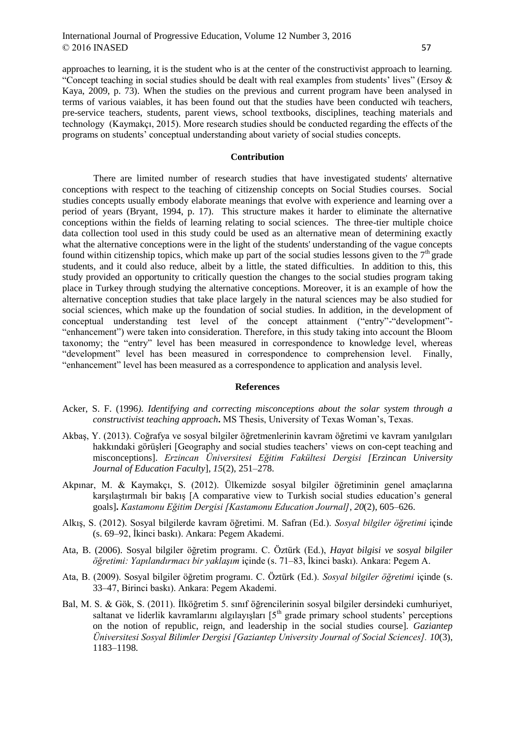approaches to learning, it is the student who is at the center of the constructivist approach to learning. "Concept teaching in social studies should be dealt with real examples from students' lives" (Ersoy & Kaya, 2009, p. 73). When the studies on the previous and current program have been analysed in terms of various vaiables, it has been found out that the studies have been conducted wih teachers, pre-service teachers, students, parent views, school textbooks, disciplines, teaching materials and technology (Kaymakçı, 2015). More research studies should be conducted regarding the effects of the programs on students' conceptual understanding about variety of social studies concepts.

## **Contribution**

There are limited number of research studies that have investigated students' alternative conceptions with respect to the teaching of citizenship concepts on Social Studies courses. Social studies concepts usually embody elaborate meanings that evolve with experience and learning over a period of years (Bryant, 1994, p. 17). This structure makes it harder to eliminate the alternative conceptions within the fields of learning relating to social sciences. The three-tier multiple choice data collection tool used in this study could be used as an alternative mean of determining exactly what the alternative conceptions were in the light of the students' understanding of the vague concepts found within citizenship topics, which make up part of the social studies lessons given to the  $7<sup>th</sup>$  grade students, and it could also reduce, albeit by a little, the stated difficulties. In addition to this, this study provided an opportunity to critically question the changes to the social studies program taking place in Turkey through studying the alternative conceptions. Moreover, it is an example of how the alternative conception studies that take place largely in the natural sciences may be also studied for social sciences, which make up the foundation of social studies. In addition, in the development of conceptual understanding test level of the concept attainment ("entry"-"development"- "enhancement") were taken into consideration. Therefore, in this study taking into account the Bloom taxonomy; the "entry" level has been measured in correspondence to knowledge level, whereas "development" level has been measured in correspondence to comprehension level. Finally, "enhancement" level has been measured as a correspondence to application and analysis level.

#### **References**

- Acker, S. F. (1996*). Identifying and correcting misconceptions about the solar system through a constructivist teaching approach***.** MS Thesis, University of Texas Woman's, Texas.
- Akbaş, Y. (2013). Coğrafya ve sosyal bilgiler öğretmenlerinin kavram öğretimi ve kavram yanılgıları hakkındaki görüşleri [Geography and social studies teachers' views on con-cept teaching and misconceptions]. *Erzincan Üniversitesi Eğitim Fakültesi Dergisi [Erzincan University Journal of Education Faculty*], *15*(2), 251–278.
- Akpınar, M. & Kaymakçı, S. (2012). Ülkemizde sosyal bilgiler öğretiminin genel amaçlarına karşılaştırmalı bir bakış [A comparative view to Turkish social studies education's general goals]**.** *Kastamonu Eğitim Dergisi [Kastamonu Education Journal]*, *20*(2), 605–626.
- Alkış, S. (2012). Sosyal bilgilerde kavram öğretimi. M. Safran (Ed.). *Sosyal bilgiler öğretimi* içinde (s. 69–92, İkinci baskı). Ankara: Pegem Akademi.
- Ata, B. (2006). Sosyal bilgiler öğretim programı. C. Öztürk (Ed.), *Hayat bilgisi ve sosyal bilgiler öğretimi: Yapılandırmacı bir yaklaşım* içinde (s. 71–83, İkinci baskı). Ankara: Pegem A.
- Ata, B. (2009). Sosyal bilgiler öğretim programı. C. Öztürk (Ed.). *Sosyal bilgiler öğretimi* içinde (s. 33–47, Birinci baskı). Ankara: Pegem Akademi.
- Bal, M. S. & Gök, S. (2011). İlköğretim 5. sınıf öğrencilerinin sosyal bilgiler dersindeki cumhuriyet, saltanat ve liderlik kavramlarını algılayışları [5<sup>th</sup> grade primary school students' perceptions on the notion of republic, reign, and leadership in the social studies course]. *Gaziantep Üniversitesi Sosyal Bilimler Dergisi [Gaziantep University Journal of Social Sciences]. 10*(3), 1183–1198.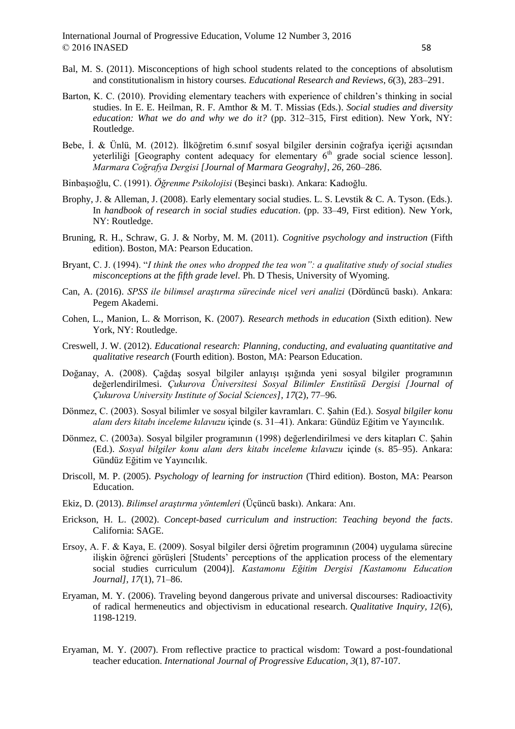- Bal, M. S. (2011). Misconceptions of high school students related to the conceptions of absolutism and constitutionalism in history courses. *Educational Research and Reviews*, *6*(3), 283–291.
- Barton, K. C. (2010). Providing elementary teachers with experience of children's thinking in social studies. In E. E. Heilman, R. F. Amthor & M. T. Missias (Eds.). *Social studies and diversity education: What we do and why we do it?* (pp. 312–315, First edition). New York, NY: Routledge.
- Bebe, İ. & Ünlü, M. (2012). İlköğretim 6.sınıf sosyal bilgiler dersinin coğrafya içeriği açısından yeterliliği [Geography content adequacy for elementary  $6<sup>th</sup>$  grade social science lesson]. *Marmara Coğrafya Dergisi [Journal of Marmara Geograhy]*, *26*, 260–286.
- Binbaşıoğlu, C. (1991). *Öğrenme Psikolojisi* (Beşinci baskı). Ankara: Kadıoğlu.
- Brophy, J. & Alleman, J. (2008). Early elementary social studies. L. S. Levstik & C. A. Tyson. (Eds.). In *handbook of research in social studies education*. (pp. 33–49, First edition). New York, NY: Routledge.
- Bruning, R. H., Schraw, G. J. & Norby, M. M. (2011). *Cognitive psychology and instruction* (Fifth edition). Boston, MA: Pearson Education.
- Bryant, C. J. (1994). "*I think the ones who dropped the tea won": a qualitative study of social studies misconceptions at the fifth grade level.* Ph. D Thesis, University of Wyoming.
- Can, A. (2016). *SPSS ile bilimsel araştırma sürecinde nicel veri analizi* (Dördüncü baskı). Ankara: Pegem Akademi.
- Cohen, L., Manion, L. & Morrison, K. (2007). *Research methods in education* (Sixth edition). New York, NY: Routledge.
- Creswell, J. W. (2012). *Educational research: Planning, conducting, and evaluating quantitative and qualitative research* (Fourth edition). Boston, MA: Pearson Education.
- Doğanay, A. (2008). Çağdaş sosyal bilgiler anlayışı ışığında yeni sosyal bilgiler programının değerlendirilmesi. *Çukurova Üniversitesi Sosyal Bilimler Enstitüsü Dergisi [Journal of Çukurova University Institute of Social Sciences], 17*(2), 77–96*.*
- Dönmez, C. (2003). Sosyal bilimler ve sosyal bilgiler kavramları. C. Şahin (Ed.). *Sosyal bilgiler konu alanı ders kitabı inceleme kılavuzu* içinde (s. 31–41). Ankara: Gündüz Eğitim ve Yayıncılık.
- Dönmez, C. (2003a). Sosyal bilgiler programının (1998) değerlendirilmesi ve ders kitapları C. Şahin (Ed.). *Sosyal bilgiler konu alanı ders kitabı inceleme kılavuzu* içinde (s. 85–95). Ankara: Gündüz Eğitim ve Yayıncılık.
- Driscoll, M. P. (2005). *Psychology of learning for instruction* (Third edition). Boston, MA: Pearson Education.
- Ekiz, D. (2013). *Bilimsel araştırma yöntemleri* (Üçüncü baskı). Ankara: Anı.
- Erickson, H. L. (2002). *Concept-based curriculum and instruction*: *Teaching beyond the facts*. California: SAGE.
- Ersoy, A. F. & Kaya, E. (2009). Sosyal bilgiler dersi öğretim programının (2004) uygulama sürecine ilişkin öğrenci görüşleri [Students' perceptions of the application process of the elementary social studies curriculum (2004)]. *Kastamonu Eğitim Dergisi [Kastamonu Education Journal], 17*(1), 71–86.
- Eryaman, M. Y. (2006). Traveling beyond dangerous private and universal discourses: Radioactivity of radical hermeneutics and objectivism in educational research. *Qualitative Inquiry, 12*(6), 1198-1219.
- Eryaman, M. Y. (2007). From reflective practice to practical wisdom: Toward a post-foundational teacher education. *International Journal of Progressive Education*, *3*(1), 87-107.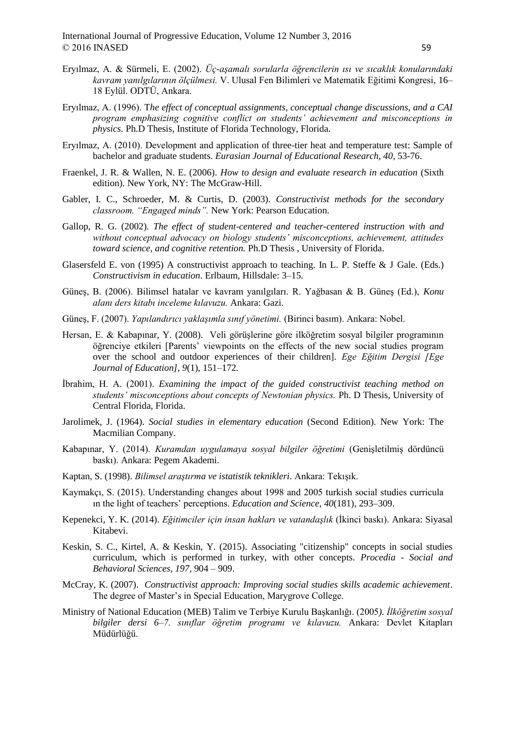- Eryılmaz, A. & Sürmeli, E. (2002). *Üç-aşamalı sorularla öğrencilerin ısı ve sıcaklık konularındaki kavram yanılgılarının ölçülmesi.* V. Ulusal Fen Bilimleri ve Matematik Eğitimi Kongresi, 16– 18 Eylül. ODTÜ, Ankara.
- Eryılmaz, A. (1996). T*he effect of conceptual assignments, conceptual change discussions, and a CAI program emphasizing cognitive conflict on students' achievement and misconceptions in physics.* Ph.D Thesis, Institute of Florida Technology, Florida.
- Eryılmaz, A. (2010). Development and application of three-tier heat and temperature test: Sample of bachelor and graduate students. *Eurasian Journal of Educational Research, 40*, 53-76.
- Fraenkel, J. R. & Wallen, N. E. (2006). *How to design and evaluate research in education* (Sixth edition). New York, NY: The McGraw-Hill.
- Gabler, I. C., Schroeder, M. & Curtis, D. (2003). *Constructivist methods for the secondary classroom. "Engaged minds".* New York: Pearson Education.
- Gallop, R. G. (2002). *The effect of student-centered and teacher-centered instruction with and without conceptual advocacy on biology students' misconceptions, achievement, attitudes toward science, and cognitive retention.* Ph.D Thesis , University of Florida.
- Glasersfeld E. von (1995) A constructivist approach to teaching. In L. P. Steffe & J Gale. (Eds.) *Constructivism in education*. Erlbaum, Hillsdale: 3–15.
- Güneş, B. (2006). Bilimsel hatalar ve kavram yanılgıları. R. Yağbasan & B. Güneş (Ed.), *Konu alanı ders kitabı inceleme kılavuzu.* Ankara: Gazi.
- Güneş, F. (2007). *Yapılandırıcı yaklaşımla sınıf yönetimi.* (Birinci basım). Ankara: Nobel.
- Hersan, E. & Kabapınar, Y. (2008). Veli görüşlerine göre ilköğretim sosyal bilgiler programının öğrenciye etkileri [Parents' viewpoints on the effects of the new social studies program over the school and outdoor experiences of their children]. *Ege Eğitim Dergisi [Ege Journal of Education], 9*(1), 151–172*.*
- İbrahim, H. A. (2001). *Examining the impact of the guided constructivist teaching method on students' misconceptions about concepts of Newtonian physics.* Ph. D Thesis, University of Central Florida, Florida.
- Jarolimek, J. (1964). *Social studies in elementary education* (Second Edition). New York: The Macmilian Company.
- Kabapınar, Y. (2014). *Kuramdan uygulamaya sosyal bilgiler öğretimi* (Genişletilmiş dördüncü baskı). Ankara: Pegem Akademi.
- Kaptan, S. (1998). *Bilimsel araştırma ve istatistik teknikleri*. Ankara: Tekışık.
- Kaymakçı, S. (2015). Understanding changes about 1998 and 2005 turkish social studies curricula ın the light of teachers' perceptions. *Education and Science*, *40*(181), 293–309.
- Kepenekci, Y. K. (2014). *Eğitimciler için insan hakları ve vatandaşlık* (İkinci baskı). Ankara: Siyasal Kitabevi.
- Keskin, S. C., Kirtel, A. & Keskin, Y. (2015). Associating "citizenship" concepts in social studies curriculum, which is performed in turkey, with other concepts. *Procedia - Social and Behavioral Sciences*, *197,* 904 – 909.
- McCray, K. (2007). *Constructivist approach: Improving social studies skills academic achievement*. The degree of Master's in Special Education, Marygrove College.
- Ministry of National Education (MEB) Talim ve Terbiye Kurulu Başkanlığı. (2005*). İlköğretim sosyal bilgiler dersi 6–7. sınıflar öğretim programı ve kılavuzu.* Ankara: Devlet Kitapları Müdürlüğü.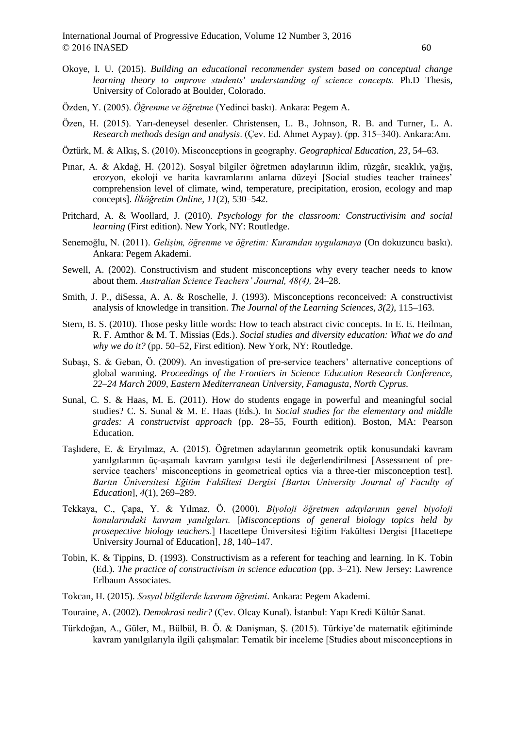- Okoye, I. U. (2015). *Building an educational recommender system based on conceptual change learning theory to ımprove students' understanding of science concepts.* Ph.D Thesis, University of Colorado at Boulder, Colorado.
- Özden, Y. (2005). *Öğrenme ve öğretme* (Yedinci baskı). Ankara: Pegem A.
- Özen, H. (2015). Yarı-deneysel desenler. Christensen, L. B., Johnson, R. B. and Turner, L. A. *Research methods design and analysis*. (Çev. Ed. Ahmet Aypay). (pp. 315–340). Ankara:Anı.
- Öztürk, M. & Alkış, S. (2010). Misconceptions in geography. *Geographical Education*, *23*, 54–63.
- Pınar, A. & Akdağ, H. (2012). Sosyal bilgiler öğretmen adaylarının iklim, rüzgâr, sıcaklık, yağış, erozyon, ekoloji ve harita kavramlarını anlama düzeyi [Social studies teacher trainees' comprehension level of climate, wind, temperature, precipitation, erosion, ecology and map concepts]. *İlköğretim Online*, *11*(2), 530–542.
- Pritchard, A. & Woollard, J. (2010). *Psychology for the classroom: Constructivisim and social learning* (First edition). New York, NY: Routledge.
- Senemoğlu, N. (2011). *Gelişim, öğrenme ve öğretim: Kuramdan uygulamaya* (On dokuzuncu baskı). Ankara: Pegem Akademi.
- Sewell, A. (2002). Constructivism and student misconceptions why every teacher needs to know about them. *Australian Science Teachers' Journal, 48(4),* 24–28.
- Smith, J. P., diSessa, A. A. & Roschelle, J. (1993). Misconceptions reconceived: A constructivist analysis of knowledge in transition. *The Journal of the Learning Sciences, 3(2)*, 115–163.
- Stern, B. S. (2010). Those pesky little words: How to teach abstract civic concepts. In E. E. Heilman, R. F. Amthor & M. T. Missias (Eds.). *Social studies and diversity education: What we do and why we do it?* (pp. 50–52, First edition). New York, NY: Routledge.
- Subaşı, S. & Geban, Ö. (2009). An investigation of pre-service teachers' alternative conceptions of global warming. *Proceedings of the Frontiers in Science Education Research Conference, 22–24 March 2009, Eastern Mediterranean University, Famagusta, North Cyprus.*
- Sunal, C. S. & Haas, M. E. (2011). How do students engage in powerful and meaningful social studies? C. S. Sunal & M. E. Haas (Eds.). In *Social studies for the elementary and middle grades: A constructvist approach* (pp. 28–55, Fourth edition). Boston, MA: Pearson Education.
- Taşlıdere, E. & Eryılmaz, A. (2015). Öğretmen adaylarının geometrik optik konusundaki kavram yanılgılarının üç-aşamalı kavram yanılgısı testi ile değerlendirilmesi [Assessment of preservice teachers' misconceptions in geometrical optics via a three-tier misconception test]. *Bartın Üniversitesi Eğitim Fakültesi Dergisi [Bartın University Journal of Faculty of Education*], *4*(1), 269–289.
- Tekkaya, C., Çapa, Y. & Yılmaz, Ö. (2000). *Biyoloji öğretmen adaylarının genel biyoloji konularındaki kavram yanılgıları.* [*Misconceptions of general biology topics held by prosepective biology teachers*.] Hacettepe Üniversitesi Eğitim Fakültesi Dergisi [Hacettepe University Journal of Education]*, 18*, 140–147.
- Tobin, K. & Tippins, D. (1993). Constructivism as a referent for teaching and learning. In K. Tobin (Ed.). *The practice of constructivism in science education* (pp. 3–21). New Jersey: Lawrence Erlbaum Associates.
- Tokcan, H. (2015). *Sosyal bilgilerde kavram öğretimi*. Ankara: Pegem Akademi.
- Touraine, A. (2002). *Demokrasi nedir?* (Çev. Olcay Kunal). İstanbul: Yapı Kredi Kültür Sanat.
- Türkdoğan, A., Güler, M., Bülbül, B. Ö. & Danişman, Ş. (2015). Türkiye'de matematik eğitiminde kavram yanılgılarıyla ilgili çalışmalar: Tematik bir inceleme [Studies about misconceptions in